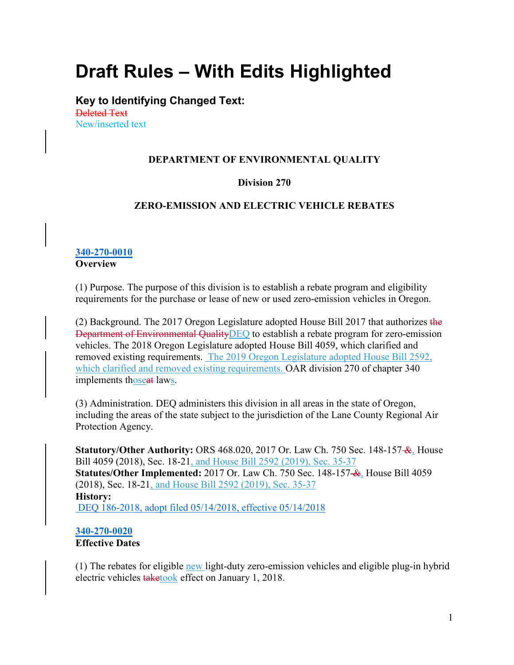# **Draft Rules – With Edits Highlighted**

**Key to Identifying Changed Text:** Deleted Text New/inserted text

## **DEPARTMENT OF ENVIRONMENTAL QUALITY**

#### **Division 270**

#### **ZERO-EMISSION AND ELECTRIC VEHICLE REBATES**

#### **[340-270-0010](https://secure.sos.state.or.us/oard/viewSingleRule.action?ruleVrsnRsn=244920) Overview**

(1) Purpose. The purpose of this division is to establish a rebate program and eligibility requirements for the purchase or lease of new or used zero-emission vehicles in Oregon.

(2) Background. The 2017 Oregon Legislature adopted House Bill 2017 that authorizes the Department of Environmental QualityDEQ to establish a rebate program for zero-emission vehicles. The 2018 Oregon Legislature adopted House Bill 4059, which clarified and removed existing requirements. The 2019 Oregon Legislature adopted House Bill 2592, which clarified and removed existing requirements. OAR division 270 of chapter 340 implements thoseat laws.

(3) Administration. DEQ administers this division in all areas in the state of Oregon, including the areas of the state subject to the jurisdiction of the Lane County Regional Air Protection Agency.

**Statutory/Other Authority:** ORS 468.020, 2017 Or. Law Ch. 750 Sec. 148-157 &, House Bill 4059 (2018), Sec. 18-21, and House Bill 2592 (2019), Sec. 35-37 **Statutes/Other Implemented:** 2017 Or. Law Ch. 750 Sec. 148-157 &, House Bill 4059 (2018), Sec. 18-21, and House Bill 2592 (2019), Sec. 35-37 **History:** [DEQ 186-2018, adopt filed 05/14/2018, effective 05/14/2018](https://secure.sos.state.or.us/oard/viewReceiptPDF.action?filingRsn=37756)

#### **[340-270-0020](https://secure.sos.state.or.us/oard/viewSingleRule.action?ruleVrsnRsn=244921) Effective Dates**

(1) The rebates for eligible new light-duty zero-emission vehicles and eligible plug-in hybrid electric vehicles taketook effect on January 1, 2018.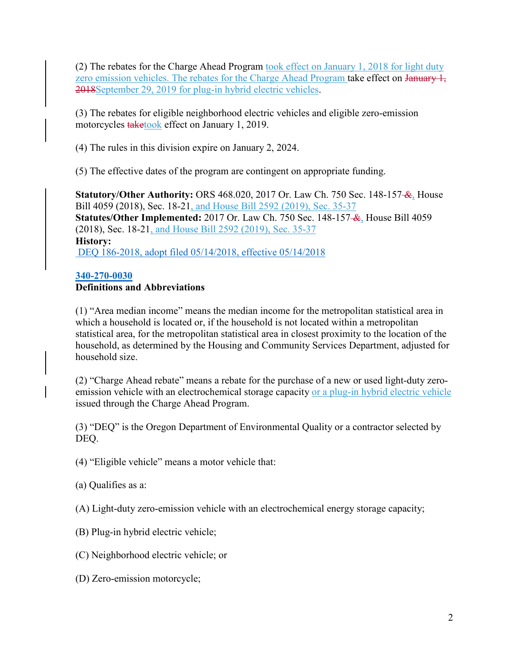(2) The rebates for the Charge Ahead Program took effect on January 1, 2018 for light duty zero emission vehicles. The rebates for the Charge Ahead Program take effect on January 1, 2018September 29, 2019 for plug-in hybrid electric vehicles.

(3) The rebates for eligible neighborhood electric vehicles and eligible zero-emission motorcycles **taketook** effect on January 1, 2019.

(4) The rules in this division expire on January 2, 2024.

(5) The effective dates of the program are contingent on appropriate funding.

**Statutory/Other Authority:** ORS 468.020, 2017 Or. Law Ch. 750 Sec. 148-157 &, House Bill 4059 (2018), Sec. 18-21, and House Bill 2592 (2019), Sec. 35-37 **Statutes/Other Implemented:** 2017 Or. Law Ch. 750 Sec. 148-157 &, House Bill 4059 (2018), Sec. 18-21, and House Bill 2592 (2019), Sec. 35-37 **History:** [DEQ 186-2018, adopt filed 05/14/2018, effective 05/14/2018](https://secure.sos.state.or.us/oard/viewReceiptPDF.action?filingRsn=37756)

# **[340-270-0030](https://secure.sos.state.or.us/oard/viewSingleRule.action?ruleVrsnRsn=253449)**

# **Definitions and Abbreviations**

(1) "Area median income" means the median income for the metropolitan statistical area in which a household is located or, if the household is not located within a metropolitan statistical area, for the metropolitan statistical area in closest proximity to the location of the household, as determined by the Housing and Community Services Department, adjusted for household size.

(2) "Charge Ahead rebate" means a rebate for the purchase of a new or used light-duty zeroemission vehicle with an electrochemical storage capacity or a plug-in hybrid electric vehicle issued through the Charge Ahead Program.

(3) "DEQ" is the Oregon Department of Environmental Quality or a contractor selected by DEQ.

(4) "Eligible vehicle" means a motor vehicle that:

(a) Qualifies as a:

(A) Light-duty zero-emission vehicle with an electrochemical energy storage capacity;

- (B) Plug-in hybrid electric vehicle;
- (C) Neighborhood electric vehicle; or
- (D) Zero-emission motorcycle;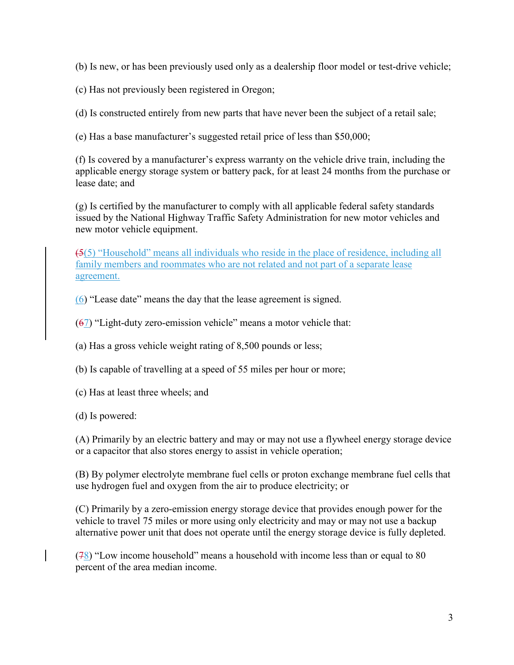(b) Is new, or has been previously used only as a dealership floor model or test-drive vehicle;

(c) Has not previously been registered in Oregon;

(d) Is constructed entirely from new parts that have never been the subject of a retail sale;

(e) Has a base manufacturer's suggested retail price of less than \$50,000;

(f) Is covered by a manufacturer's express warranty on the vehicle drive train, including the applicable energy storage system or battery pack, for at least 24 months from the purchase or lease date; and

(g) Is certified by the manufacturer to comply with all applicable federal safety standards issued by the National Highway Traffic Safety Administration for new motor vehicles and new motor vehicle equipment.

(5(5) "Household" means all individuals who reside in the place of residence, including all family members and roommates who are not related and not part of a separate lease agreement.

(6) "Lease date" means the day that the lease agreement is signed.

 $(67)$  "Light-duty zero-emission vehicle" means a motor vehicle that:

(a) Has a gross vehicle weight rating of 8,500 pounds or less;

(b) Is capable of travelling at a speed of 55 miles per hour or more;

(c) Has at least three wheels; and

(d) Is powered:

(A) Primarily by an electric battery and may or may not use a flywheel energy storage device or a capacitor that also stores energy to assist in vehicle operation;

(B) By polymer electrolyte membrane fuel cells or proton exchange membrane fuel cells that use hydrogen fuel and oxygen from the air to produce electricity; or

(C) Primarily by a zero-emission energy storage device that provides enough power for the vehicle to travel 75 miles or more using only electricity and may or may not use a backup alternative power unit that does not operate until the energy storage device is fully depleted.

(78) "Low income household" means a household with income less than or equal to 80 percent of the area median income.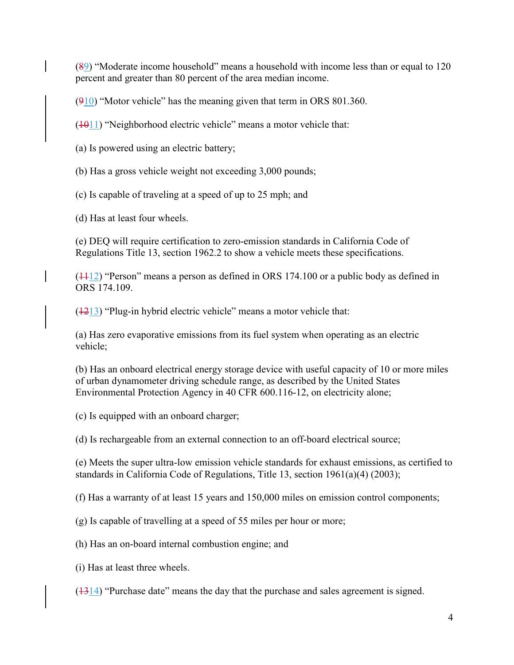$(89)$  "Moderate income household" means a household with income less than or equal to 120 percent and greater than 80 percent of the area median income.

 $(910)$  "Motor vehicle" has the meaning given that term in ORS 801.360.

 $(1011)$  "Neighborhood electric vehicle" means a motor vehicle that:

(a) Is powered using an electric battery;

(b) Has a gross vehicle weight not exceeding 3,000 pounds;

(c) Is capable of traveling at a speed of up to 25 mph; and

(d) Has at least four wheels.

(e) DEQ will require certification to zero-emission standards in California Code of Regulations Title 13, section 1962.2 to show a vehicle meets these specifications.

 $(1112)$  "Person" means a person as defined in ORS 174.100 or a public body as defined in ORS 174.109.

 $(1213)$  "Plug-in hybrid electric vehicle" means a motor vehicle that:

(a) Has zero evaporative emissions from its fuel system when operating as an electric vehicle;

(b) Has an onboard electrical energy storage device with useful capacity of 10 or more miles of urban dynamometer driving schedule range, as described by the United States Environmental Protection Agency in 40 CFR 600.116-12, on electricity alone;

(c) Is equipped with an onboard charger;

(d) Is rechargeable from an external connection to an off-board electrical source;

(e) Meets the super ultra-low emission vehicle standards for exhaust emissions, as certified to standards in California Code of Regulations, Title 13, section 1961(a)(4) (2003);

(f) Has a warranty of at least 15 years and 150,000 miles on emission control components;

(g) Is capable of travelling at a speed of 55 miles per hour or more;

(h) Has an on-board internal combustion engine; and

(i) Has at least three wheels.

 $(1314)$  "Purchase date" means the day that the purchase and sales agreement is signed.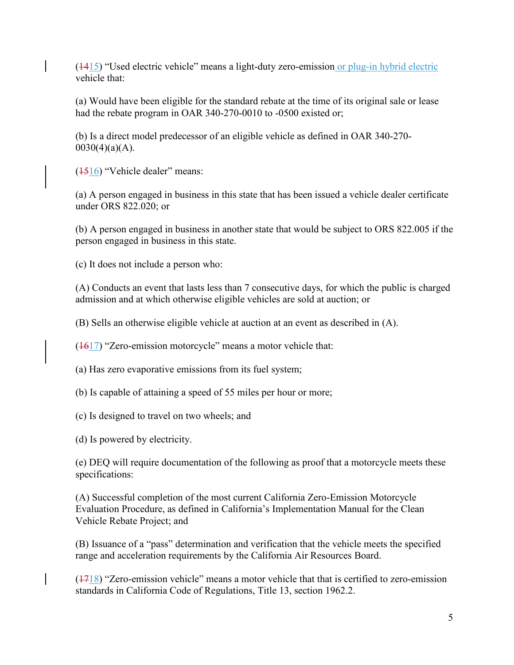$(1415)$  "Used electric vehicle" means a light-duty zero-emission or plug-in hybrid electric vehicle that:

(a) Would have been eligible for the standard rebate at the time of its original sale or lease had the rebate program in OAR 340-270-0010 to -0500 existed or;

(b) Is a direct model predecessor of an eligible vehicle as defined in OAR 340-270-  $0030(4)(a)(A)$ .

(1516) "Vehicle dealer" means:

(a) A person engaged in business in this state that has been issued a vehicle dealer certificate under ORS 822.020; or

(b) A person engaged in business in another state that would be subject to ORS 822.005 if the person engaged in business in this state.

(c) It does not include a person who:

(A) Conducts an event that lasts less than 7 consecutive days, for which the public is charged admission and at which otherwise eligible vehicles are sold at auction; or

(B) Sells an otherwise eligible vehicle at auction at an event as described in (A).

 $(1617)$  "Zero-emission motorcycle" means a motor vehicle that:

(a) Has zero evaporative emissions from its fuel system;

(b) Is capable of attaining a speed of 55 miles per hour or more;

(c) Is designed to travel on two wheels; and

(d) Is powered by electricity.

(e) DEQ will require documentation of the following as proof that a motorcycle meets these specifications:

(A) Successful completion of the most current California Zero-Emission Motorcycle Evaluation Procedure, as defined in California's Implementation Manual for the Clean Vehicle Rebate Project; and

(B) Issuance of a "pass" determination and verification that the vehicle meets the specified range and acceleration requirements by the California Air Resources Board.

 $(1718)$  "Zero-emission vehicle" means a motor vehicle that that is certified to zero-emission standards in California Code of Regulations, Title 13, section 1962.2.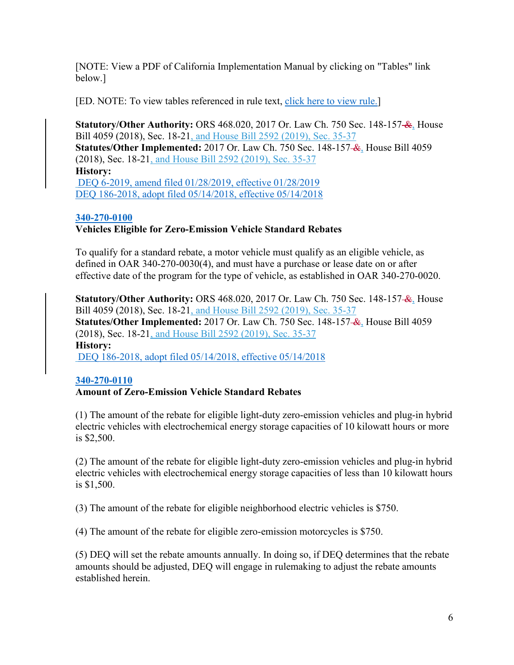[NOTE: View a PDF of California Implementation Manual by clicking on "Tables" link below.]

[ED. NOTE: To view tables referenced in rule text, [click here to view rule.\]](https://secure.sos.state.or.us/oard/viewSingleRule.action?ruleVrsnRsn=253449)

**Statutory/Other Authority:** ORS 468.020, 2017 Or. Law Ch. 750 Sec. 148-157- $\mathcal{L}_1$  House Bill 4059 (2018), Sec. 18-21, and House Bill 2592 (2019), Sec. 35-37 **Statutes/Other Implemented:** 2017 Or. Law Ch. 750 Sec. 148-157 &, House Bill 4059 (2018), Sec. 18-21, and House Bill 2592 (2019), Sec. 35-37 **History:** [DEQ 6-2019, amend filed 01/28/2019, effective 01/28/2019](https://secure.sos.state.or.us/oard/viewReceiptPDF.action?filingRsn=40443) [DEQ 186-2018, adopt filed 05/14/2018, effective 05/14/2018](https://secure.sos.state.or.us/oard/viewReceiptPDF.action?filingRsn=37756)

## **[340-270-0100](https://secure.sos.state.or.us/oard/viewSingleRule.action?ruleVrsnRsn=244923) Vehicles Eligible for Zero-Emission Vehicle Standard Rebates**

To qualify for a standard rebate, a motor vehicle must qualify as an eligible vehicle, as defined in OAR 340-270-0030(4), and must have a purchase or lease date on or after effective date of the program for the type of vehicle, as established in OAR 340-270-0020.

**Statutory/Other Authority:** ORS 468.020, 2017 Or. Law Ch. 750 Sec. 148-157 &, House Bill 4059 (2018), Sec. 18-21, and House Bill 2592 (2019), Sec. 35-37 **Statutes/Other Implemented:** 2017 Or. Law Ch. 750 Sec. 148-157 &, House Bill 4059 (2018), Sec. 18-21, and House Bill 2592 (2019), Sec. 35-37 **History:** [DEQ 186-2018, adopt filed 05/14/2018, effective 05/14/2018](https://secure.sos.state.or.us/oard/viewReceiptPDF.action?filingRsn=37756)

# **[340-270-0110](https://secure.sos.state.or.us/oard/viewSingleRule.action?ruleVrsnRsn=244924)**

#### **Amount of Zero-Emission Vehicle Standard Rebates**

(1) The amount of the rebate for eligible light-duty zero-emission vehicles and plug-in hybrid electric vehicles with electrochemical energy storage capacities of 10 kilowatt hours or more is \$2,500.

(2) The amount of the rebate for eligible light-duty zero-emission vehicles and plug-in hybrid electric vehicles with electrochemical energy storage capacities of less than 10 kilowatt hours is \$1,500.

(3) The amount of the rebate for eligible neighborhood electric vehicles is \$750.

(4) The amount of the rebate for eligible zero-emission motorcycles is \$750.

(5) DEQ will set the rebate amounts annually. In doing so, if DEQ determines that the rebate amounts should be adjusted, DEQ will engage in rulemaking to adjust the rebate amounts established herein.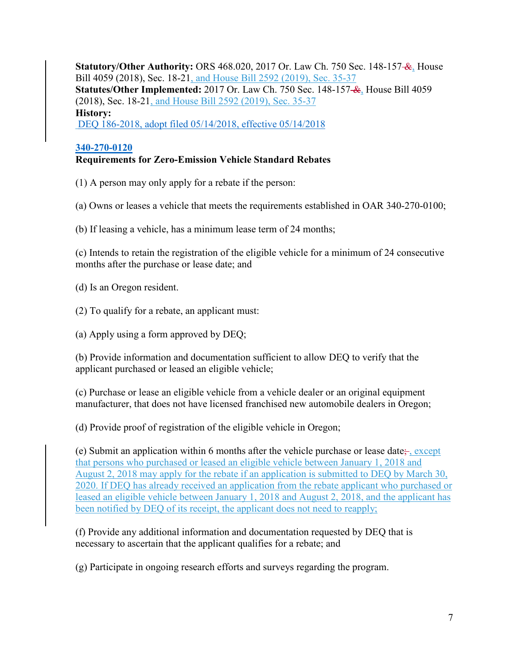**Statutory/Other Authority:** ORS 468.020, 2017 Or. Law Ch. 750 Sec. 148-157- $\mathcal{L}_1$ . House Bill 4059 (2018), Sec. 18-21, and House Bill 2592 (2019), Sec. 35-37 **Statutes/Other Implemented:** 2017 Or. Law Ch. 750 Sec. 148-157 &, House Bill 4059 (2018), Sec. 18-21, and House Bill 2592 (2019), Sec. 35-37 **History:** [DEQ 186-2018, adopt filed 05/14/2018, effective 05/14/2018](https://secure.sos.state.or.us/oard/viewReceiptPDF.action?filingRsn=37756)

## **[340-270-0120](https://secure.sos.state.or.us/oard/viewSingleRule.action?ruleVrsnRsn=244925)**

# **Requirements for Zero-Emission Vehicle Standard Rebates**

(1) A person may only apply for a rebate if the person:

(a) Owns or leases a vehicle that meets the requirements established in OAR 340-270-0100;

(b) If leasing a vehicle, has a minimum lease term of 24 months;

(c) Intends to retain the registration of the eligible vehicle for a minimum of 24 consecutive months after the purchase or lease date; and

(d) Is an Oregon resident.

(2) To qualify for a rebate, an applicant must:

(a) Apply using a form approved by DEQ;

(b) Provide information and documentation sufficient to allow DEQ to verify that the applicant purchased or leased an eligible vehicle;

(c) Purchase or lease an eligible vehicle from a vehicle dealer or an original equipment manufacturer, that does not have licensed franchised new automobile dealers in Oregon;

(d) Provide proof of registration of the eligible vehicle in Oregon;

(e) Submit an application within 6 months after the vehicle purchase or lease date;  $\frac{f}{f}$ , except that persons who purchased or leased an eligible vehicle between January 1, 2018 and August 2, 2018 may apply for the rebate if an application is submitted to DEQ by March 30, 2020. If DEQ has already received an application from the rebate applicant who purchased or leased an eligible vehicle between January 1, 2018 and August 2, 2018, and the applicant has been notified by DEQ of its receipt, the applicant does not need to reapply;

(f) Provide any additional information and documentation requested by DEQ that is necessary to ascertain that the applicant qualifies for a rebate; and

(g) Participate in ongoing research efforts and surveys regarding the program.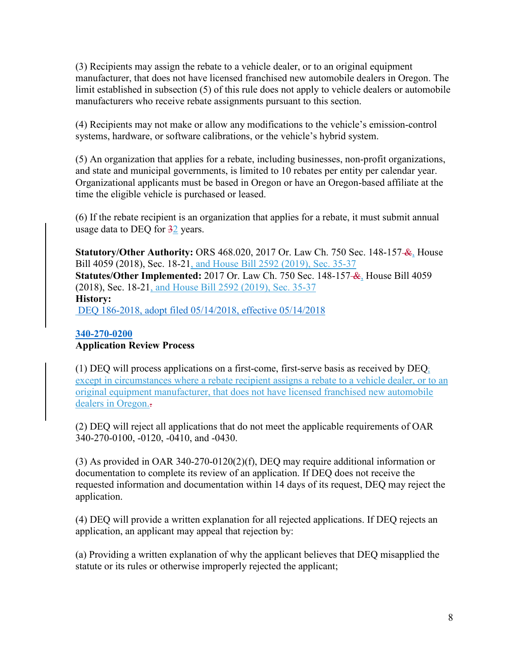(3) Recipients may assign the rebate to a vehicle dealer, or to an original equipment manufacturer, that does not have licensed franchised new automobile dealers in Oregon. The limit established in subsection (5) of this rule does not apply to vehicle dealers or automobile manufacturers who receive rebate assignments pursuant to this section.

(4) Recipients may not make or allow any modifications to the vehicle's emission-control systems, hardware, or software calibrations, or the vehicle's hybrid system.

(5) An organization that applies for a rebate, including businesses, non-profit organizations, and state and municipal governments, is limited to 10 rebates per entity per calendar year. Organizational applicants must be based in Oregon or have an Oregon-based affiliate at the time the eligible vehicle is purchased or leased.

(6) If the rebate recipient is an organization that applies for a rebate, it must submit annual usage data to DEQ for  $\frac{32}{2}$  years.

**Statutory/Other Authority:** ORS 468.020, 2017 Or. Law Ch. 750 Sec. 148-157- $\mathcal{L}_1$  House Bill 4059 (2018), Sec. 18-21, and House Bill 2592 (2019), Sec. 35-37 **Statutes/Other Implemented:** 2017 Or. Law Ch. 750 Sec. 148-157 &, House Bill 4059 (2018), Sec. 18-21, and House Bill 2592 (2019), Sec. 35-37 **History:** [DEQ 186-2018, adopt filed 05/14/2018, effective 05/14/2018](https://secure.sos.state.or.us/oard/viewReceiptPDF.action?filingRsn=37756)

#### **[340-270-0200](https://secure.sos.state.or.us/oard/viewSingleRule.action?ruleVrsnRsn=244926)**

## **Application Review Process**

(1) DEQ will process applications on a first-come, first-serve basis as received by  $DEQ_i$ except in circumstances where a rebate recipient assigns a rebate to a vehicle dealer, or to an original equipment manufacturer, that does not have licensed franchised new automobile dealers in Oregon.

(2) DEQ will reject all applications that do not meet the applicable requirements of OAR 340-270-0100, -0120, -0410, and -0430.

(3) As provided in OAR 340-270-0120(2)(f), DEQ may require additional information or documentation to complete its review of an application. If DEQ does not receive the requested information and documentation within 14 days of its request, DEQ may reject the application.

(4) DEQ will provide a written explanation for all rejected applications. If DEQ rejects an application, an applicant may appeal that rejection by:

(a) Providing a written explanation of why the applicant believes that DEQ misapplied the statute or its rules or otherwise improperly rejected the applicant;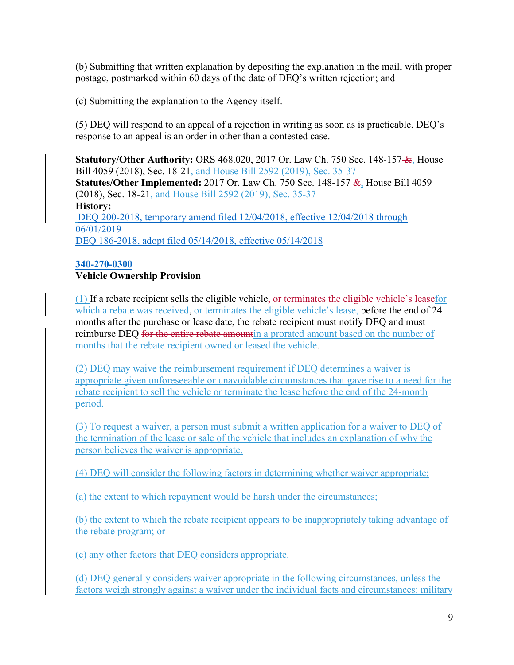(b) Submitting that written explanation by depositing the explanation in the mail, with proper postage, postmarked within 60 days of the date of DEQ's written rejection; and

(c) Submitting the explanation to the Agency itself.

(5) DEQ will respond to an appeal of a rejection in writing as soon as is practicable. DEQ's response to an appeal is an order in other than a contested case.

**Statutory/Other Authority:** ORS 468.020, 2017 Or. Law Ch. 750 Sec. 148-157- $\mathcal{L}_1$ . House Bill 4059 (2018), Sec. 18-21, and House Bill 2592 (2019), Sec. 35-37 **Statutes/Other Implemented:** 2017 Or. Law Ch. 750 Sec. 148-157 &, House Bill 4059 (2018), Sec. 18-21, and House Bill 2592 (2019), Sec. 35-37 **History:** [DEQ 200-2018, temporary amend filed 12/04/2018, effective 12/04/2018 through](https://secure.sos.state.or.us/oard/viewReceiptPDF.action?filingRsn=40030)  [06/01/2019](https://secure.sos.state.or.us/oard/viewReceiptPDF.action?filingRsn=40030) DEQ 186-2018, adopt [filed 05/14/2018, effective 05/14/2018](https://secure.sos.state.or.us/oard/viewReceiptPDF.action?filingRsn=37756)

#### **[340-270-0300](https://secure.sos.state.or.us/oard/viewSingleRule.action?ruleVrsnRsn=244927) Vehicle Ownership Provision**

(1) If a rebate recipient sells the eligible vehicle, or terminates the eligible vehicle's leasefor which a rebate was received, or terminates the eligible vehicle's lease, before the end of 24 months after the purchase or lease date, the rebate recipient must notify DEQ and must reimburse DEQ for the entire rebate amountin a prorated amount based on the number of months that the rebate recipient owned or leased the vehicle.

(2) DEQ may waive the reimbursement requirement if DEQ determines a waiver is appropriate given unforeseeable or unavoidable circumstances that gave rise to a need for the rebate recipient to sell the vehicle or terminate the lease before the end of the 24-month period.

(3) To request a waiver, a person must submit a written application for a waiver to DEQ of the termination of the lease or sale of the vehicle that includes an explanation of why the person believes the waiver is appropriate.

(4) DEQ will consider the following factors in determining whether waiver appropriate;

(a) the extent to which repayment would be harsh under the circumstances;

(b) the extent to which the rebate recipient appears to be inappropriately taking advantage of the rebate program; or

(c) any other factors that DEQ considers appropriate.

(d) DEQ generally considers waiver appropriate in the following circumstances, unless the factors weigh strongly against a waiver under the individual facts and circumstances: military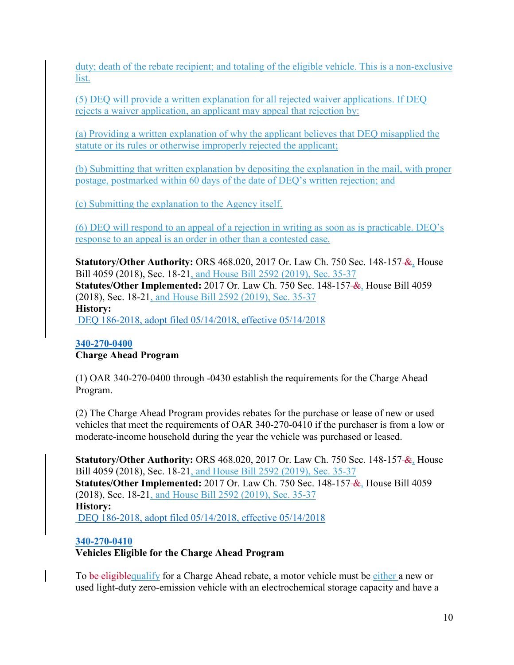duty; death of the rebate recipient; and totaling of the eligible vehicle. This is a non-exclusive list.

(5) DEQ will provide a written explanation for all rejected waiver applications. If DEQ rejects a waiver application, an applicant may appeal that rejection by:

(a) Providing a written explanation of why the applicant believes that DEQ misapplied the statute or its rules or otherwise improperly rejected the applicant;

(b) Submitting that written explanation by depositing the explanation in the mail, with proper postage, postmarked within 60 days of the date of DEQ's written rejection; and

(c) Submitting the explanation to the Agency itself.

(6) DEQ will respond to an appeal of a rejection in writing as soon as is practicable. DEQ's response to an appeal is an order in other than a contested case.

**Statutory/Other Authority:** ORS 468.020, 2017 Or. Law Ch. 750 Sec. 148-157- $\mathcal{L}_2$  House Bill 4059 (2018), Sec. 18-21, and House Bill 2592 (2019), Sec. 35-37 **Statutes/Other Implemented:** 2017 Or. Law Ch. 750 Sec. 148-157 &, House Bill 4059 (2018), Sec. 18-21, and House Bill 2592 (2019), Sec. 35-37 **History:** [DEQ 186-2018, adopt filed 05/14/2018, effective 05/14/2018](https://secure.sos.state.or.us/oard/viewReceiptPDF.action?filingRsn=37756)

#### **[340-270-0400](https://secure.sos.state.or.us/oard/viewSingleRule.action?ruleVrsnRsn=244928) Charge Ahead Program**

(1) OAR 340-270-0400 through -0430 establish the requirements for the Charge Ahead Program.

(2) The Charge Ahead Program provides rebates for the purchase or lease of new or used vehicles that meet the requirements of OAR 340-270-0410 if the purchaser is from a low or moderate-income household during the year the vehicle was purchased or leased.

**Statutory/Other Authority:** ORS 468.020, 2017 Or. Law Ch. 750 Sec. 148-157- $\mathcal{L}_1$ . House Bill 4059 (2018), Sec. 18-21, and House Bill 2592 (2019), Sec. 35-37 **Statutes/Other Implemented:** 2017 Or. Law Ch. 750 Sec. 148-157 &, House Bill 4059 (2018), Sec. 18-21, and House Bill 2592 (2019), Sec. 35-37 **History:** DEQ 186-2018, adopt [filed 05/14/2018, effective 05/14/2018](https://secure.sos.state.or.us/oard/viewReceiptPDF.action?filingRsn=37756)

# **[340-270-0410](https://secure.sos.state.or.us/oard/viewSingleRule.action?ruleVrsnRsn=244929)**

**Vehicles Eligible for the Charge Ahead Program**

To be eligible qualify for a Charge Ahead rebate, a motor vehicle must be either a new or used light-duty zero-emission vehicle with an electrochemical storage capacity and have a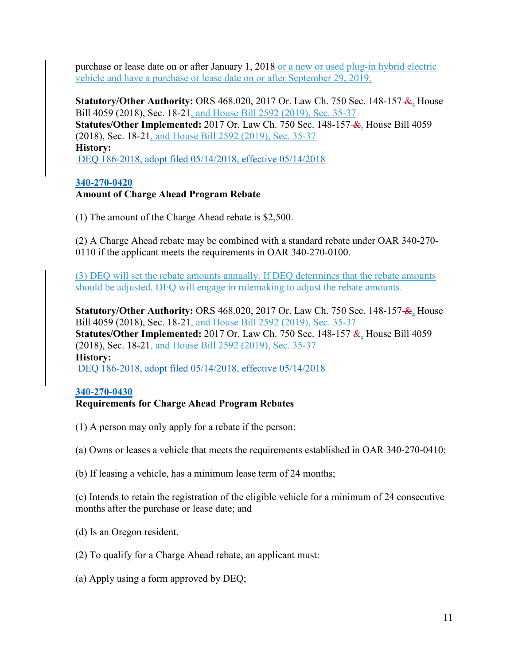purchase or lease date on or after January 1, 2018 or a new or used plug-in hybrid electric vehicle and have a purchase or lease date on or after September 29, 2019.

**Statutory/Other Authority:** ORS 468.020, 2017 Or. Law Ch. 750 Sec. 148-157 &, House Bill 4059 (2018), Sec. 18-21, and House Bill 2592 (2019), Sec. 35-37 **Statutes/Other Implemented:** 2017 Or. Law Ch. 750 Sec. 148-157 &, House Bill 4059 (2018), Sec. 18-21, and House Bill 2592 (2019), Sec. 35-37 **History:** [DEQ 186-2018, adopt filed 05/14/2018, effective 05/14/2018](https://secure.sos.state.or.us/oard/viewReceiptPDF.action?filingRsn=37756)

## **[340-270-0420](https://secure.sos.state.or.us/oard/viewSingleRule.action?ruleVrsnRsn=244930)**

## **Amount of Charge Ahead Program Rebate**

(1) The amount of the Charge Ahead rebate is \$2,500.

(2) A Charge Ahead rebate may be combined with a standard rebate under OAR 340-270- 0110 if the applicant meets the requirements in OAR 340-270-0100.

(3) DEQ will set the rebate amounts annually. If DEQ determines that the rebate amounts should be adjusted, DEQ will engage in rulemaking to adjust the rebate amounts.

**Statutory/Other Authority:** ORS 468.020, 2017 Or. Law Ch. 750 Sec. 148-157- $\mathcal{L}_1$ . House Bill 4059 (2018), Sec. 18-21, and House Bill 2592 (2019), Sec. 35-37 **Statutes/Other Implemented:** 2017 Or. Law Ch. 750 Sec. 148-157 &, House Bill 4059 (2018), Sec. 18-21, and House Bill 2592 (2019), Sec. 35-37 **History:** [DEQ 186-2018, adopt filed 05/14/2018, effective 05/14/2018](https://secure.sos.state.or.us/oard/viewReceiptPDF.action?filingRsn=37756)

#### **[340-270-0430](https://secure.sos.state.or.us/oard/viewSingleRule.action?ruleVrsnRsn=244931)**

# **Requirements for Charge Ahead Program Rebates**

- (1) A person may only apply for a rebate if the person:
- (a) Owns or leases a vehicle that meets the requirements established in OAR 340-270-0410;
- (b) If leasing a vehicle, has a minimum lease term of 24 months;

(c) Intends to retain the registration of the eligible vehicle for a minimum of 24 consecutive months after the purchase or lease date; and

- (d) Is an Oregon resident.
- (2) To qualify for a Charge Ahead rebate, an applicant must:
- (a) Apply using a form approved by DEQ;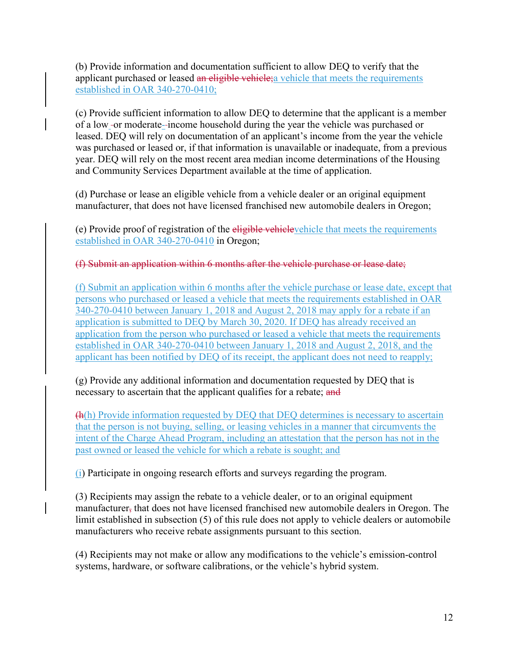(b) Provide information and documentation sufficient to allow DEQ to verify that the applicant purchased or leased an eligible vehicle; a vehicle that meets the requirements established in OAR 340-270-0410;

(c) Provide sufficient information to allow DEQ to determine that the applicant is a member of a low-or moderate-income household during the year the vehicle was purchased or leased. DEQ will rely on documentation of an applicant's income from the year the vehicle was purchased or leased or, if that information is unavailable or inadequate, from a previous year. DEQ will rely on the most recent area median income determinations of the Housing and Community Services Department available at the time of application.

(d) Purchase or lease an eligible vehicle from a vehicle dealer or an original equipment manufacturer, that does not have licensed franchised new automobile dealers in Oregon;

(e) Provide proof of registration of the eligible vehiclevehicle that meets the requirements established in OAR 340-270-0410 in Oregon;

(f) Submit an application within 6 months after the vehicle purchase or lease date;

(f) Submit an application within 6 months after the vehicle purchase or lease date, except that persons who purchased or leased a vehicle that meets the requirements established in OAR 340-270-0410 between January 1, 2018 and August 2, 2018 may apply for a rebate if an application is submitted to DEQ by March 30, 2020. If DEQ has already received an application from the person who purchased or leased a vehicle that meets the requirements established in OAR 340-270-0410 between January 1, 2018 and August 2, 2018, and the applicant has been notified by DEQ of its receipt, the applicant does not need to reapply;

(g) Provide any additional information and documentation requested by DEQ that is necessary to ascertain that the applicant qualifies for a rebate; and

(h(h) Provide information requested by DEQ that DEQ determines is necessary to ascertain that the person is not buying, selling, or leasing vehicles in a manner that circumvents the intent of the Charge Ahead Program, including an attestation that the person has not in the past owned or leased the vehicle for which a rebate is sought; and

(i) Participate in ongoing research efforts and surveys regarding the program.

(3) Recipients may assign the rebate to a vehicle dealer, or to an original equipment manufacturer, that does not have licensed franchised new automobile dealers in Oregon. The limit established in subsection (5) of this rule does not apply to vehicle dealers or automobile manufacturers who receive rebate assignments pursuant to this section.

(4) Recipients may not make or allow any modifications to the vehicle's emission-control systems, hardware, or software calibrations, or the vehicle's hybrid system.